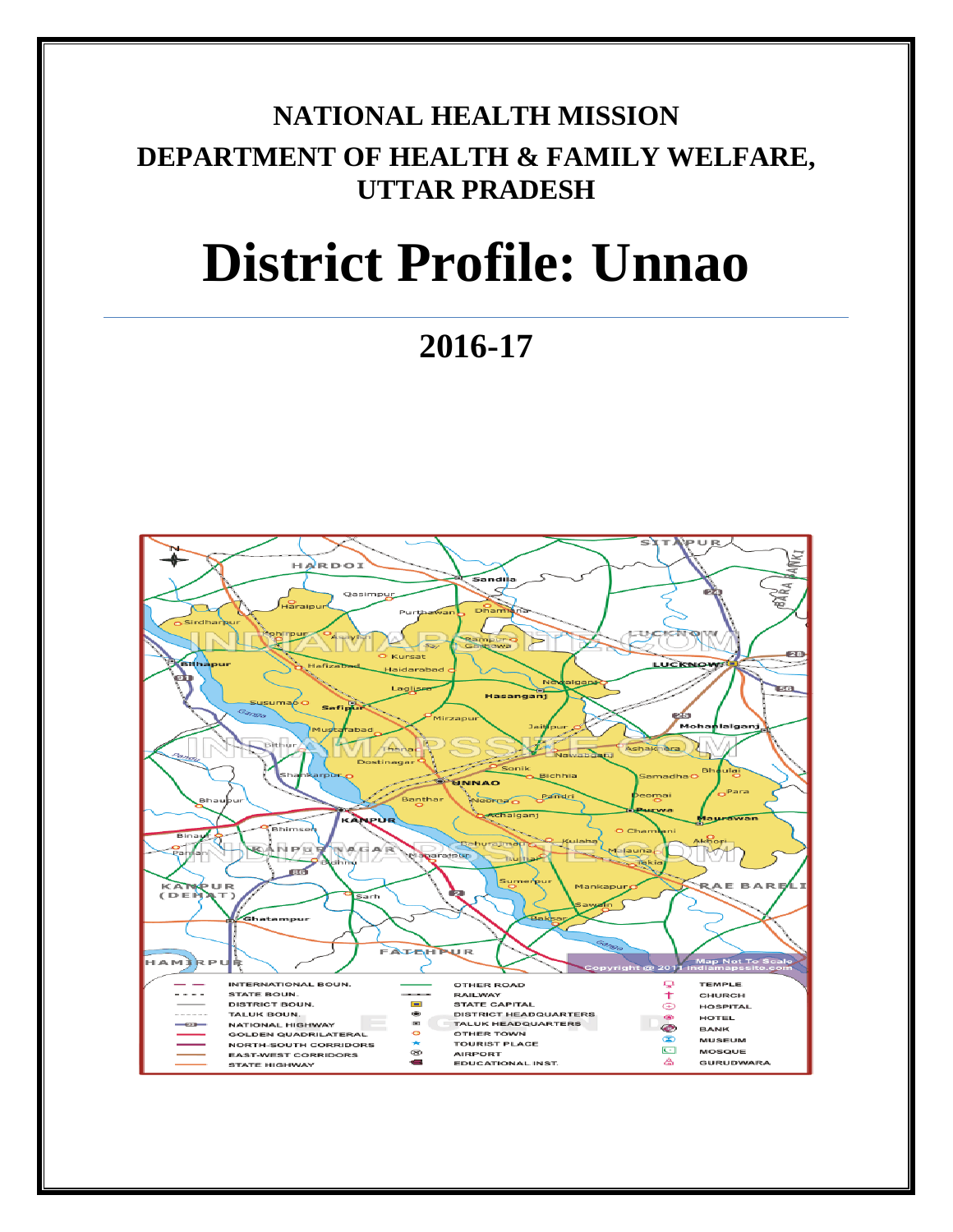# **NATIONAL HEALTH MISSION DEPARTMENT OF HEALTH & FAMILY WELFARE, UTTAR PRADESH**

# **District Profile: Unnao**

**2016-17**

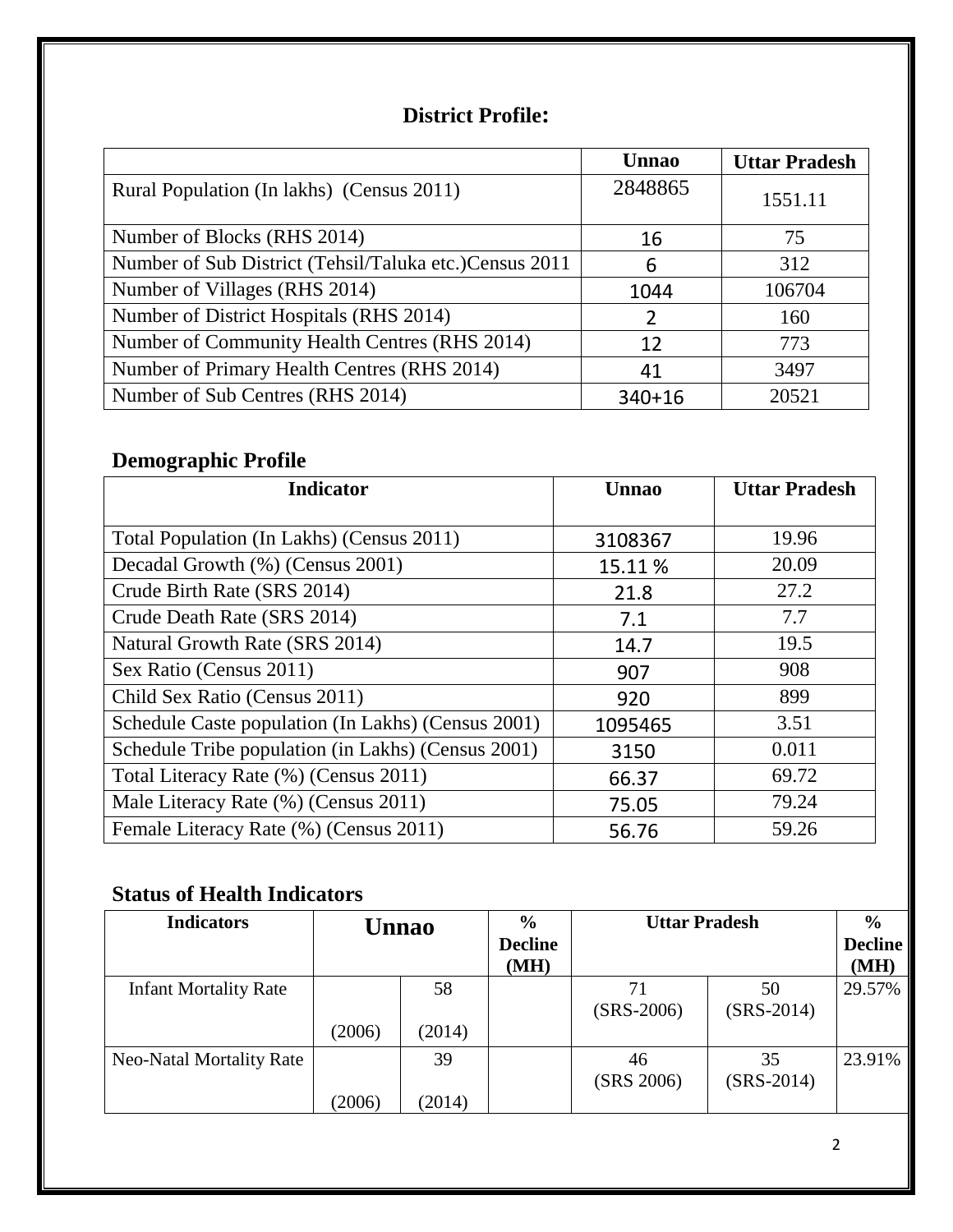### **District Profile:**

|                                                        | <b>Unnao</b> | <b>Uttar Pradesh</b> |
|--------------------------------------------------------|--------------|----------------------|
| Rural Population (In lakhs) (Census 2011)              | 2848865      | 1551.11              |
| Number of Blocks (RHS 2014)                            | 16           | 75                   |
| Number of Sub District (Tehsil/Taluka etc.)Census 2011 | 6            | 312                  |
| Number of Villages (RHS 2014)                          | 1044         | 106704               |
| Number of District Hospitals (RHS 2014)                |              | 160                  |
| Number of Community Health Centres (RHS 2014)          | 12           | 773                  |
| Number of Primary Health Centres (RHS 2014)            | 41           | 3497                 |
| Number of Sub Centres (RHS 2014)                       | $340+16$     | 20521                |

## **Demographic Profile**

| <b>Indicator</b>                                   | <b>Unnao</b> | <b>Uttar Pradesh</b> |
|----------------------------------------------------|--------------|----------------------|
|                                                    |              |                      |
| Total Population (In Lakhs) (Census 2011)          | 3108367      | 19.96                |
| Decadal Growth (%) (Census 2001)                   | 15.11%       | 20.09                |
| Crude Birth Rate (SRS 2014)                        | 21.8         | 27.2                 |
| Crude Death Rate (SRS 2014)                        | 7.1          | 7.7                  |
| Natural Growth Rate (SRS 2014)                     | 14.7         | 19.5                 |
| Sex Ratio (Census 2011)                            | 907          | 908                  |
| Child Sex Ratio (Census 2011)                      | 920          | 899                  |
| Schedule Caste population (In Lakhs) (Census 2001) | 1095465      | 3.51                 |
| Schedule Tribe population (in Lakhs) (Census 2001) | 3150         | 0.011                |
| Total Literacy Rate (%) (Census 2011)              | 66.37        | 69.72                |
| Male Literacy Rate (%) (Census 2011)               | 75.05        | 79.24                |
| Female Literacy Rate (%) (Census 2011)             | 56.76        | 59.26                |

## **Status of Health Indicators**

| <b>Indicators</b>            |        | <b>Unnao</b> | $\frac{0}{0}$<br><b>Decline</b><br>(MH) | <b>Uttar Pradesh</b> |                    | $\frac{6}{9}$<br><b>Decline</b><br>(MH) |
|------------------------------|--------|--------------|-----------------------------------------|----------------------|--------------------|-----------------------------------------|
| <b>Infant Mortality Rate</b> | (2006) | 58<br>(2014) |                                         | 71<br>$(SRS-2006)$   | 50<br>$(SRS-2014)$ | 29.57%                                  |
| Neo-Natal Mortality Rate     | (2006) | 39<br>(2014) |                                         | 46<br>(SRS 2006)     | 35<br>$(SRS-2014)$ | 23.91%                                  |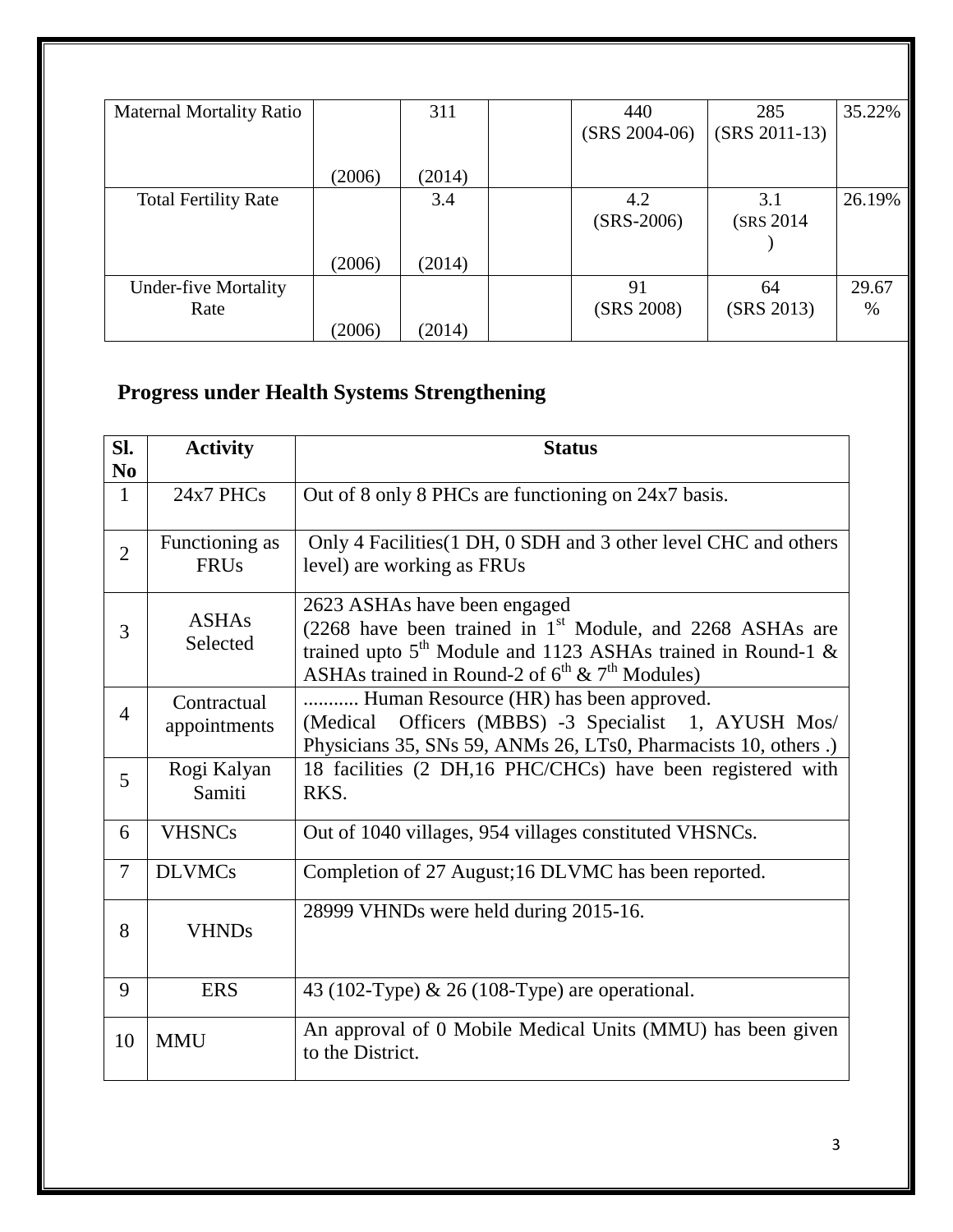| <b>Maternal Mortality Ratio</b> |        | 311    | 440             | 285             | 35.22% |
|---------------------------------|--------|--------|-----------------|-----------------|--------|
|                                 |        |        | $(SRS 2004-06)$ | $(SRS 2011-13)$ |        |
|                                 |        |        |                 |                 |        |
|                                 | (2006) | (2014) |                 |                 |        |
| <b>Total Fertility Rate</b>     |        | 3.4    | 4.2             | 3.1             | 26.19% |
|                                 |        |        | $(SRS-2006)$    | (SRS 2014)      |        |
|                                 |        |        |                 |                 |        |
|                                 | (2006) | (2014) |                 |                 |        |
| <b>Under-five Mortality</b>     |        |        | 91              | 64              | 29.67  |
| Rate                            |        |        | (SRS 2008)      | (SRS 2013)      | $\%$   |
|                                 | (2006) | (2014) |                 |                 |        |

# **Progress under Health Systems Strengthening**

| SI.<br>N <sub>0</sub> | <b>Activity</b>               | <b>Status</b>                                                                                                                                                                                                                        |
|-----------------------|-------------------------------|--------------------------------------------------------------------------------------------------------------------------------------------------------------------------------------------------------------------------------------|
| $\mathbf{1}$          | 24x7 PHCs                     | Out of 8 only 8 PHCs are functioning on 24x7 basis.                                                                                                                                                                                  |
| $\overline{2}$        | Functioning as<br><b>FRUs</b> | Only 4 Facilities (1 DH, 0 SDH and 3 other level CHC and others<br>level) are working as FRUs                                                                                                                                        |
| 3                     | <b>ASHAs</b><br>Selected      | 2623 ASHAs have been engaged<br>$(2268$ have been trained in 1 <sup>st</sup> Module, and 2268 ASHAs are<br>trained upto $5th$ Module and 1123 ASHAs trained in Round-1 &<br>ASHAs trained in Round-2 of $6^{th}$ & $7^{th}$ Modules) |
| $\overline{4}$        | Contractual<br>appointments   | Human Resource (HR) has been approved.<br>Officers (MBBS) -3 Specialist 1, AYUSH Mos/<br>(Medical)<br>Physicians 35, SNs 59, ANMs 26, LTs0, Pharmacists 10, others.)                                                                 |
| 5                     | Rogi Kalyan<br>Samiti         | 18 facilities (2 DH, 16 PHC/CHCs) have been registered with<br>RKS.                                                                                                                                                                  |
| 6                     | <b>VHSNCs</b>                 | Out of 1040 villages, 954 villages constituted VHSNCs.                                                                                                                                                                               |
| $\overline{7}$        | <b>DLVMCs</b>                 | Completion of 27 August;16 DLVMC has been reported.                                                                                                                                                                                  |
| 8                     | <b>VHNDs</b>                  | 28999 VHNDs were held during 2015-16.                                                                                                                                                                                                |
| 9                     | <b>ERS</b>                    | 43 (102-Type) $\&$ 26 (108-Type) are operational.                                                                                                                                                                                    |
| 10                    | <b>MMU</b>                    | An approval of 0 Mobile Medical Units (MMU) has been given<br>to the District.                                                                                                                                                       |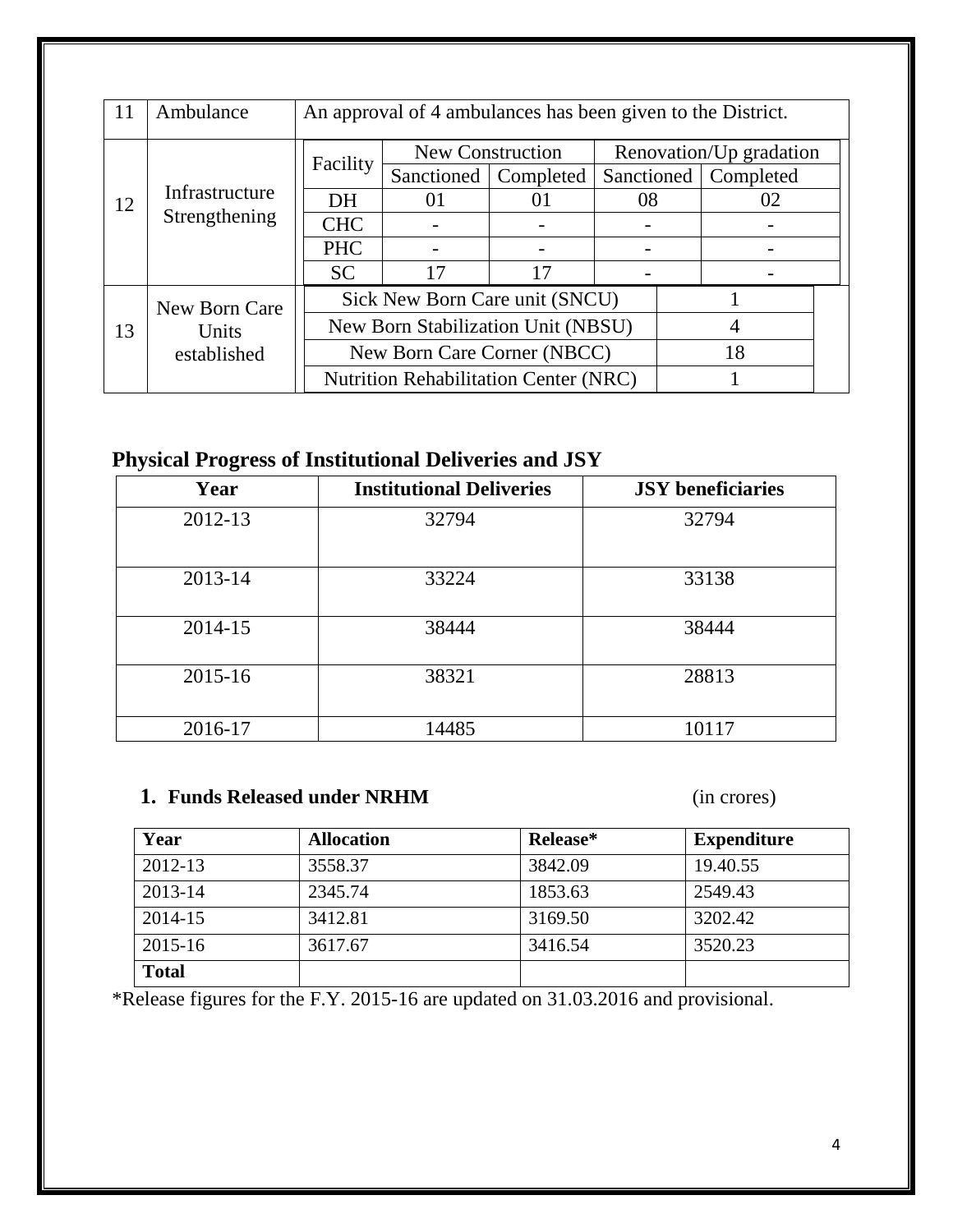| 11 | Ambulance      | An approval of 4 ambulances has been given to the District. |                                              |                         |    |                         |  |
|----|----------------|-------------------------------------------------------------|----------------------------------------------|-------------------------|----|-------------------------|--|
|    |                |                                                             |                                              | <b>New Construction</b> |    | Renovation/Up gradation |  |
|    |                | Facility                                                    | Sanctioned   Completed                       |                         |    | Sanctioned   Completed  |  |
| 12 | Infrastructure | DH                                                          | $\Omega$                                     | 01                      | 08 | 02                      |  |
|    | Strengthening  | <b>CHC</b>                                                  |                                              |                         |    |                         |  |
|    |                | <b>PHC</b>                                                  |                                              |                         |    |                         |  |
|    |                | <b>SC</b>                                                   | 17                                           | 17                      |    |                         |  |
|    | New Born Care  | Sick New Born Care unit (SNCU)                              |                                              |                         |    |                         |  |
| 13 | Units          | New Born Stabilization Unit (NBSU)                          |                                              |                         |    |                         |  |
|    | established    | New Born Care Corner (NBCC)<br>18                           |                                              |                         |    |                         |  |
|    |                |                                                             | <b>Nutrition Rehabilitation Center (NRC)</b> |                         |    |                         |  |

## **Physical Progress of Institutional Deliveries and JSY**

| Year        | <b>Institutional Deliveries</b> | <b>JSY</b> beneficiaries |
|-------------|---------------------------------|--------------------------|
| 2012-13     | 32794                           | 32794                    |
| 2013-14     | 33224                           | 33138                    |
| 2014-15     | 38444                           | 38444                    |
| $2015 - 16$ | 38321                           | 28813                    |
| 2016-17     | 14485                           | 10117                    |

## **1. Funds Released under NRHM** (in crores)

| Year         | <b>Allocation</b> | Release* | <b>Expenditure</b> |
|--------------|-------------------|----------|--------------------|
| 2012-13      | 3558.37           | 3842.09  | 19.40.55           |
| 2013-14      | 2345.74           | 1853.63  | 2549.43            |
| 2014-15      | 3412.81           | 3169.50  | 3202.42            |
| 2015-16      | 3617.67           | 3416.54  | 3520.23            |
| <b>Total</b> |                   |          |                    |

\*Release figures for the F.Y. 2015-16 are updated on 31.03.2016 and provisional.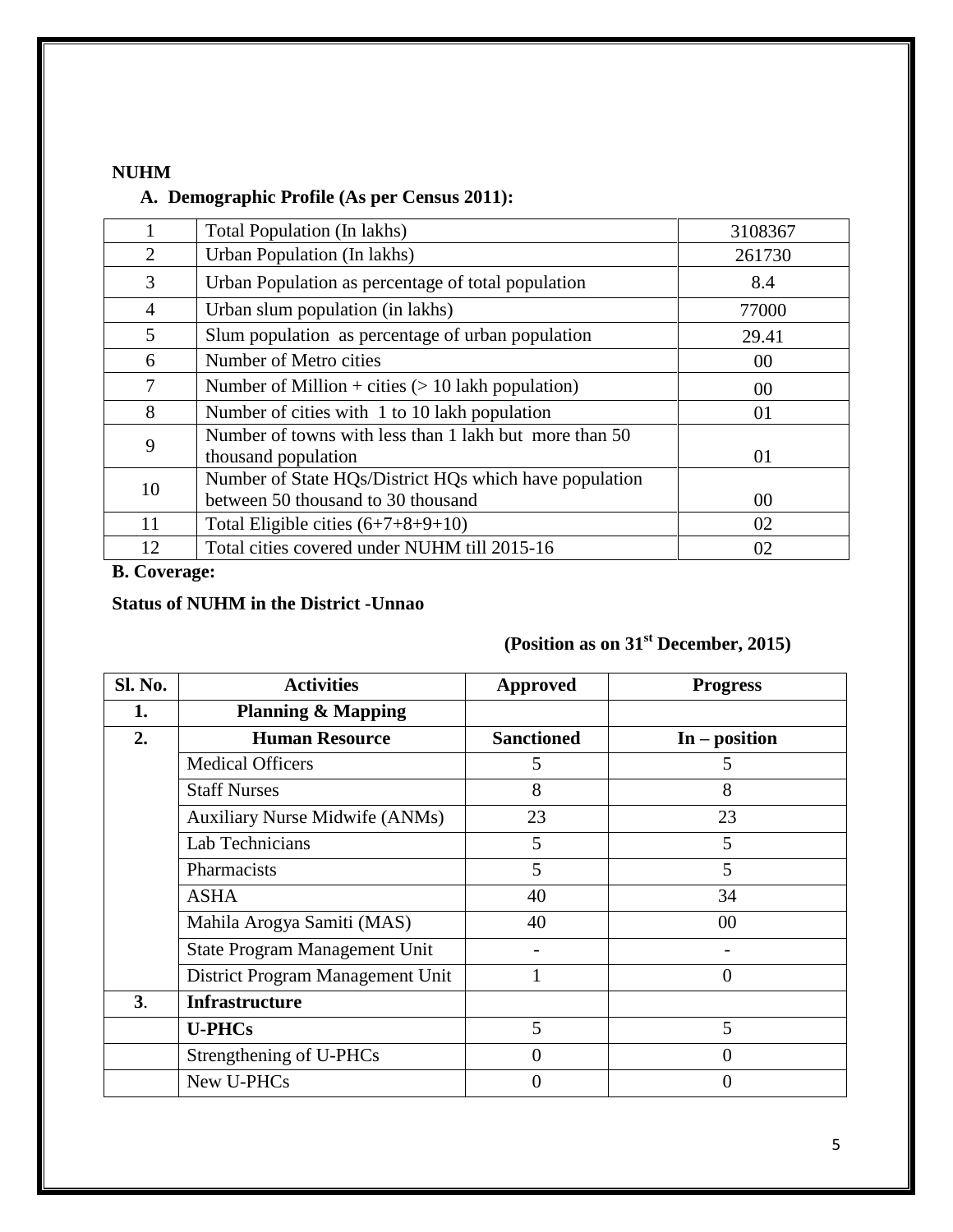#### **NUHM**

#### **A. Demographic Profile (As per Census 2011):**

|                | Total Population (In lakhs)                                                                  | 3108367 |
|----------------|----------------------------------------------------------------------------------------------|---------|
| 2              | Urban Population (In lakhs)                                                                  | 261730  |
| 3              | Urban Population as percentage of total population                                           | 8.4     |
| $\overline{4}$ | Urban slum population (in lakhs)                                                             | 77000   |
| 5              | Slum population as percentage of urban population                                            | 29.41   |
| 6              | Number of Metro cities                                                                       | 00      |
| 7              | Number of Million + cities $(> 10$ lakh population)                                          | 00      |
| 8              | Number of cities with 1 to 10 lakh population                                                | 01      |
| 9              | Number of towns with less than 1 lakh but more than 50<br>thousand population                | 01      |
| 10             | Number of State HQs/District HQs which have population<br>between 50 thousand to 30 thousand | 00      |
| 11             | Total Eligible cities $(6+7+8+9+10)$                                                         | 02      |
| 12             | Total cities covered under NUHM till 2015-16                                                 | 02      |

#### **B. Coverage:**

#### **Status of NUHM in the District -Unnao**

# **(Position as on 31st December, 2015)**

| <b>Sl. No.</b> | <b>Activities</b>                     | <b>Approved</b>   | <b>Progress</b> |
|----------------|---------------------------------------|-------------------|-----------------|
| 1.             | <b>Planning &amp; Mapping</b>         |                   |                 |
| 2.             | <b>Human Resource</b>                 | <b>Sanctioned</b> | $In - position$ |
|                | <b>Medical Officers</b>               | 5                 | 5               |
|                | <b>Staff Nurses</b>                   | 8                 | 8               |
|                | <b>Auxiliary Nurse Midwife (ANMs)</b> | 23                | 23              |
|                | Lab Technicians                       | 5                 | 5               |
|                | Pharmacists                           | 5                 | 5               |
|                | <b>ASHA</b>                           | 40                | 34              |
|                | Mahila Arogya Samiti (MAS)            | 40                | 00              |
|                | State Program Management Unit         |                   |                 |
|                | District Program Management Unit      |                   | $\theta$        |
| 3 <sub>1</sub> | <b>Infrastructure</b>                 |                   |                 |
|                | <b>U-PHCs</b>                         | 5                 | 5               |
|                | Strengthening of U-PHCs               | 0                 | 0               |
|                | New U-PHCs                            | 0                 | 0               |